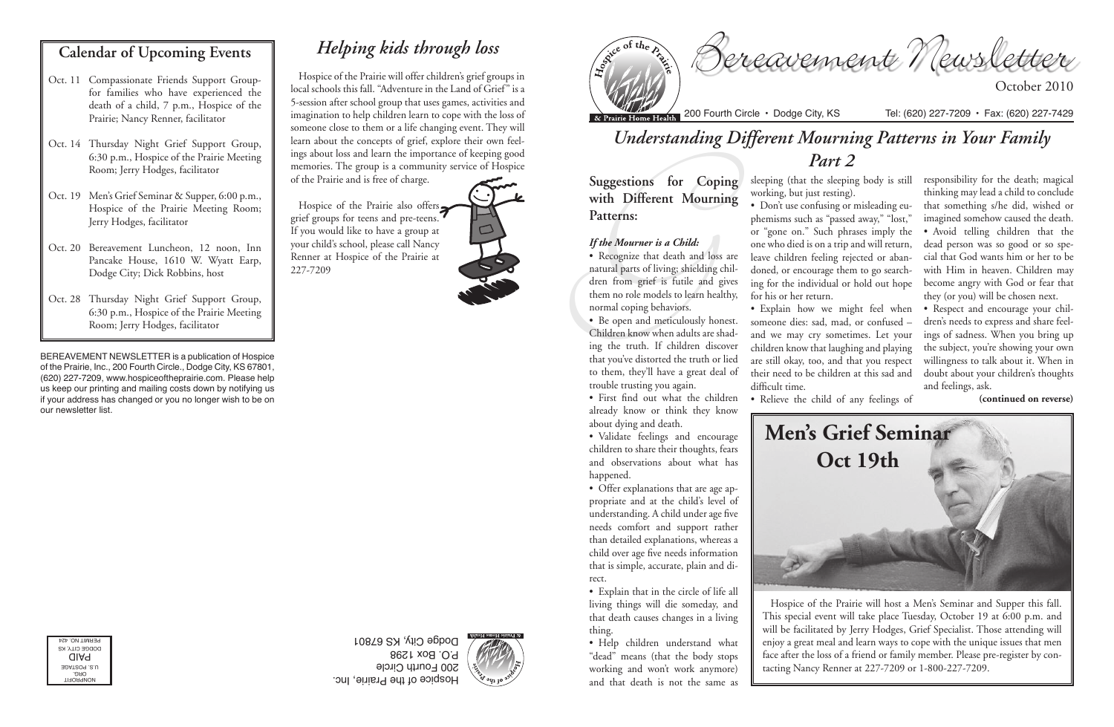Bereavement Newsletter

October 2010

Hospice of the Prairie, Inc. 200 Fourth Circle P.O. Box 1298 Dodge City, KS 67801

NONPROFIT ORG. U.S. POSTAGE PAID DODGE CITY, KS PERMIT NO. 424

BEREAVEMENT NEWSLETTER is a publication of Hospice of the Prairie, Inc., 200 Fourth Circle., Dodge City, KS 67801, (620) 227-7209, www.hospiceoftheprairie.com. Please help us keep our printing and mailing costs down by notifying us if your address has changed or you no longer wish to be on our newsletter list.

#### **Calendar of Upcoming Events**

Suggestions for Copin<br>
with Different Mournin<br>
Patterns:<br>
If the Mourner is a Child:<br>
• Recognize that death and loss<br>
natural parts of living; shielding cl<br>
dren from grief is futile and gi<br>
them no role models to learn h • Recognize that death and loss are natural parts of living; shielding children from grief is futile and gives them no role models to learn healthy, normal coping behaviors.

- Oct. 11 Compassionate Friends Support Groupfor families who have experienced the death of a child, 7 p.m., Hospice of the Prairie; Nancy Renner, facilitator
- Oct. 14 Thursday Night Grief Support Group, 6:30 p.m., Hospice of the Prairie Meeting Room; Jerry Hodges, facilitator
- Oct. 19 Men's Grief Seminar & Supper, 6:00 p.m., Hospice of the Prairie Meeting Room; Jerry Hodges, facilitator
- Oct. 20 Bereavement Luncheon, 12 noon, Inn Pancake House, 1610 W. Wyatt Earp, Dodge City; Dick Robbins, host
- Oct. 28 Thursday Night Grief Support Group, 6:30 p.m., Hospice of the Prairie Meeting Room; Jerry Hodges, facilitator

# *Understanding Different Mourning Patterns in Your Family Part 2*

**Suggestions for Coping with Different Mourning Patterns:**

#### *If the Mourner is a Child:*

• Be open and meticulously honest. Children know when adults are shading the truth. If children discover that you've distorted the truth or lied to them, they'll have a great deal of trouble trusting you again.

• First find out what the children already know or think they know about dying and death.

• Validate feelings and encourage children to share their thoughts, fears and observations about what has happened.

• Offer explanations that are age appropriate and at the child's level of understanding. A child under age five needs comfort and support rather than detailed explanations, whereas a child over age five needs information that is simple, accurate, plain and direct.

• Explain that in the circle of life all living things will die someday, and that death causes changes in a living thing.

• Help children understand what "dead" means (that the body stops working and won't work anymore) and that death is not the same as

Hospice of the Prairie also offers grief groups for teens and pre-teens. If you would like to have a group at your child's school, please call Nancy Renner at Hospice of the Prairie at 227-7209



sleeping (that the sleeping body is still working, but just resting). • Don't use confusing or misleading euphemisms such as "passed away," "lost," or "gone on." Such phrases imply the one who died is on a trip and will return, leave children feeling rejected or abandoned, or encourage them to go searching for the individual or hold out hope for his or her return. • Explain how we might feel when someone dies: sad, mad, or confused –

and we may cry sometimes. Let your children know that laughing and playing are still okay, too, and that you respect their need to be children at this sad and

difficult time.

• Relieve the child of any feelings of **(continued on reverse)**



responsibility for the death; magical thinking may lead a child to conclude that something s/he did, wished or imagined somehow caused the death. • Avoid telling children that the dead person was so good or so special that God wants him or her to be with Him in heaven. Children may become angry with God or fear that they (or you) will be chosen next.

• Respect and encourage your children's needs to express and share feelings of sadness. When you bring up the subject, you're showing your own willingness to talk about it. When in doubt about your children's thoughts and feelings, ask.

Hospice of the Prairie will host a Men's Seminar and Supper this fall. This special event will take place Tuesday, October 19 at 6:00 p.m. and will be facilitated by Jerry Hodges, Grief Specialist. Those attending will enjoy a great meal and learn ways to cope with the unique issues that men face after the loss of a friend or family member. Please pre-register by contacting Nancy Renner at 227-7209 or 1-800-227-7209.



# *Helping kids through loss*

Hospice of the Prairie will offer children's grief groups in local schools this fall. "Adventure in the Land of Grief" is a 5-session after school group that uses games, activities and imagination to help children learn to cope with the loss of someone close to them or a life changing event. They will learn about the concepts of grief, explore their own feelings about loss and learn the importance of keeping good memories. The group is a community service of Hospice

of the Prairie and is free of charge.